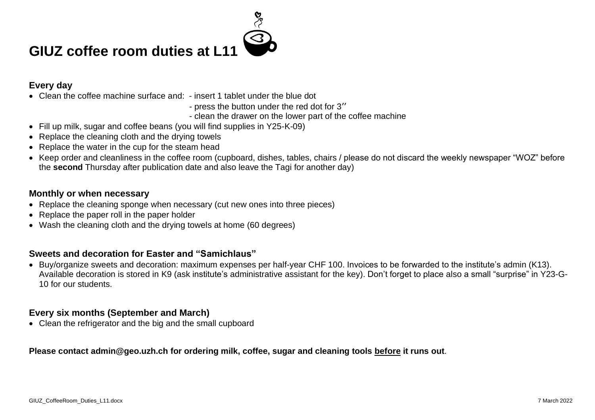

# **GIUZ coffee room duties at L11**

#### **Every day**

- Clean the coffee machine surface and: insert 1 tablet under the blue dot
	- press the button under the red dot for 3''
	- clean the drawer on the lower part of the coffee machine
- Fill up milk, sugar and coffee beans (you will find supplies in Y25-K-09)
- Replace the cleaning cloth and the drying towels
- Replace the water in the cup for the steam head
- Keep order and cleanliness in the coffee room (cupboard, dishes, tables, chairs / please do not discard the weekly newspaper "WOZ" before the **second** Thursday after publication date and also leave the Tagi for another day)

#### **Monthly or when necessary**

- Replace the cleaning sponge when necessary (cut new ones into three pieces)
- Replace the paper roll in the paper holder
- Wash the cleaning cloth and the drying towels at home (60 degrees)

#### **Sweets and decoration for Easter and "Samichlaus"**

• Buy/organize sweets and decoration: maximum expenses per half-year CHF 100. Invoices to be forwarded to the institute's admin (K13). Available decoration is stored in K9 (ask institute's administrative assistant for the key). Don't forget to place also a small "surprise" in Y23-G-10 for our students.

#### **Every six months (September and March)**

• Clean the refrigerator and the big and the small cupboard

#### **Please contact admin@geo.uzh.ch for ordering milk, coffee, sugar and cleaning tools before it runs out**.